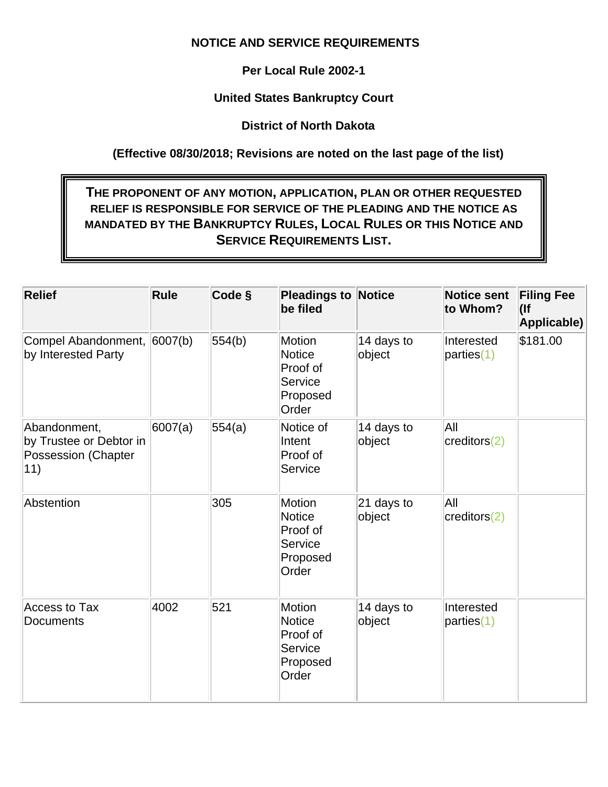## **NOTICE AND SERVICE REQUIREMENTS**

**Per Local Rule 2002-1**

**United States Bankruptcy Court**

**District of North Dakota**

**(Effective 08/30/2018; Revisions are noted on the last page of the list)**

## **THE PROPONENT OF ANY MOTION, APPLICATION, PLAN OR OTHER REQUESTED RELIEF IS RESPONSIBLE FOR SERVICE OF THE PLEADING AND THE NOTICE AS MANDATED BY THE BANKRUPTCY RULES, LOCAL RULES OR THIS NOTICE AND SERVICE REQUIREMENTS LIST.**

| <b>Relief</b>                                                                | <b>Rule</b> | Code § | <b>Pleadings to Notice</b><br>be filed                                     |                        | Notice sent<br>to Whom?       | <b>Filing Fee</b><br>$($ lf<br>Applicable) |
|------------------------------------------------------------------------------|-------------|--------|----------------------------------------------------------------------------|------------------------|-------------------------------|--------------------------------------------|
| Compel Abandonment,<br>by Interested Party                                   | 6007(b)     | 554(b) | <b>Motion</b><br><b>Notice</b><br>Proof of<br>Service<br>Proposed<br>Order | 14 days to<br>object   | Interested<br>parties(1)      | \$181.00                                   |
| Abandonment,<br>by Trustee or Debtor in<br><b>Possession (Chapter</b><br>11) | 6007(a)     | 554(a) | Notice of<br>Intent<br>Proof of<br>Service                                 | 14 days to<br>object   | All<br>creditors(2)           |                                            |
| Abstention                                                                   |             | 305    | Motion<br><b>Notice</b><br>Proof of<br>Service<br>Proposed<br>Order        | $21$ days to<br>object | All<br>$ {\rm creditors}(2) $ |                                            |
| <b>Access to Tax</b><br>Documents                                            | 4002        | 521    | <b>Motion</b><br><b>Notice</b><br>Proof of<br>Service<br>Proposed<br>Order | 14 days to<br>object   | Interested<br>parties(1)      |                                            |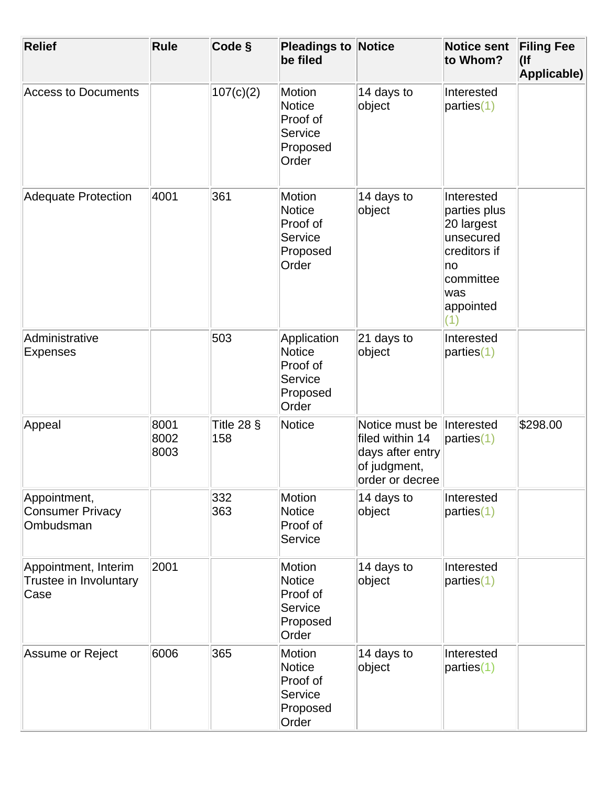| <b>Relief</b>                                          | <b>Rule</b>          | Code §              | <b>Pleadings to Notice</b><br>be filed                                     |                                                                                          | <b>Notice sent</b><br>to Whom?                                                                                       | <b>Filing Fee</b><br>$($ lf<br>Applicable) |
|--------------------------------------------------------|----------------------|---------------------|----------------------------------------------------------------------------|------------------------------------------------------------------------------------------|----------------------------------------------------------------------------------------------------------------------|--------------------------------------------|
| <b>Access to Documents</b>                             |                      | 107(c)(2)           | <b>Motion</b><br><b>Notice</b><br>Proof of<br>Service<br>Proposed<br>Order | 14 days to<br>object                                                                     | Interested<br>parties(1)                                                                                             |                                            |
| <b>Adequate Protection</b>                             | 4001                 | 361                 | Motion<br><b>Notice</b><br>Proof of<br>Service<br>Proposed<br>Order        | 14 days to<br>object                                                                     | Interested<br>parties plus<br>20 largest<br>unsecured<br>creditors if<br>∣no<br>committee<br>was<br>appointed<br>(1) |                                            |
| Administrative<br><b>Expenses</b>                      |                      | 503                 | Application<br><b>Notice</b><br>Proof of<br>Service<br>Proposed<br>Order   | $ 21$ days to<br>object                                                                  | Interested<br>parties(1)                                                                                             |                                            |
| Appeal                                                 | 8001<br>8002<br>8003 | Title 28 $§$<br>158 | <b>Notice</b>                                                              | Notice must be<br>filed within 14<br>days after entry<br>of judgment,<br>order or decree | Interested<br>parties(1)                                                                                             | \$298.00                                   |
| Appointment,<br><b>Consumer Privacy</b><br>Ombudsman   |                      | 332<br>363          | <b>Motion</b><br><b>Notice</b><br>Proof of<br>Service                      | 14 days to<br>object                                                                     | Interested<br>parties(1)                                                                                             |                                            |
| Appointment, Interim<br>Trustee in Involuntary<br>Case | 2001                 |                     | Motion<br><b>Notice</b><br>Proof of<br>Service<br>Proposed<br>Order        | 14 days to<br>object                                                                     | Interested<br>parties(1)                                                                                             |                                            |
| Assume or Reject                                       | 6006                 | 365                 | Motion<br><b>Notice</b><br>Proof of<br>Service<br>Proposed<br>Order        | 14 days to<br>object                                                                     | Interested<br>parties(1)                                                                                             |                                            |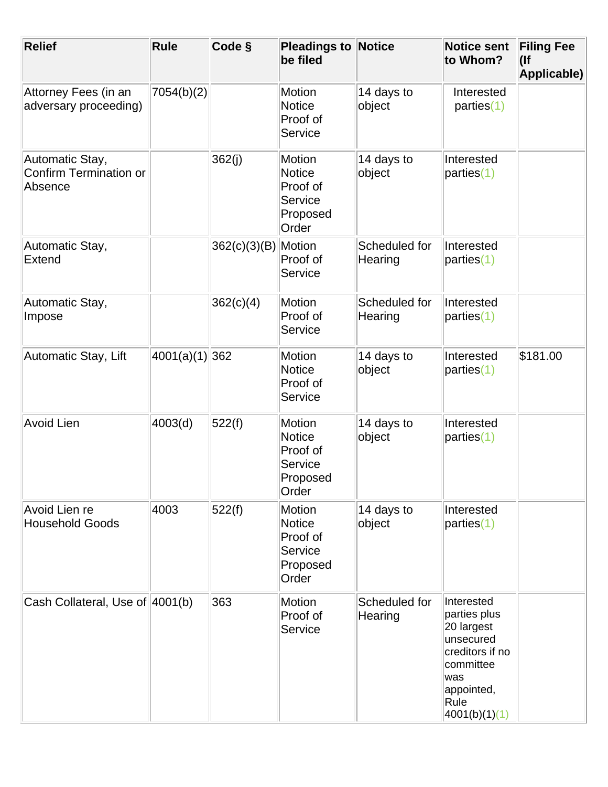| <b>Relief</b>                                               | Rule           | Code §              | <b>Pleadings to Notice</b><br>be filed                                     |                          | <b>Notice sent</b><br>to Whom?                                                                                                      | <b>Filing Fee</b><br>$($ lf<br>Applicable) |
|-------------------------------------------------------------|----------------|---------------------|----------------------------------------------------------------------------|--------------------------|-------------------------------------------------------------------------------------------------------------------------------------|--------------------------------------------|
| Attorney Fees (in an<br>adversary proceeding)               | 7054(b)(2)     |                     | <b>Motion</b><br><b>Notice</b><br>Proof of<br>Service                      | 14 days to<br>object     | Interested<br>parties(1)                                                                                                            |                                            |
| Automatic Stay,<br><b>Confirm Termination or</b><br>Absence |                | 362(j)              | Motion<br><b>Notice</b><br>Proof of<br>Service<br>Proposed<br>Order        | 14 days to<br>object     | Interested<br>parties(1)                                                                                                            |                                            |
| Automatic Stay,<br>Extend                                   |                | 362(c)(3)(B) Motion | Proof of<br>Service                                                        | Scheduled for<br>Hearing | Interested<br>parties(1)                                                                                                            |                                            |
| Automatic Stay,<br>Impose                                   |                | 362(c)(4)           | <b>Motion</b><br>Proof of<br>Service                                       | Scheduled for<br>Hearing | Interested<br>parties(1)                                                                                                            |                                            |
| Automatic Stay, Lift                                        | 4001(a)(1) 362 |                     | Motion<br><b>Notice</b><br>Proof of<br>Service                             | 14 days to<br>object     | Interested<br>parties(1)                                                                                                            | \$181.00                                   |
| <b>Avoid Lien</b>                                           | 4003(d)        | 522(f)              | Motion<br><b>Notice</b><br>Proof of<br><b>Service</b><br>Proposed<br>Order | 14 days to<br>object     | Interested<br>parties(1)                                                                                                            |                                            |
| Avoid Lien re<br><b>Household Goods</b>                     | 4003           | 522(f)              | <b>Motion</b><br><b>Notice</b><br>Proof of<br>Service<br>Proposed<br>Order | 14 days to<br>object     | Interested<br>parties(1)                                                                                                            |                                            |
| Cash Collateral, Use of 4001(b)                             |                | 363                 | <b>Motion</b><br>Proof of<br>Service                                       | Scheduled for<br>Hearing | Interested<br>parties plus<br>20 largest<br>unsecured<br>creditors if no<br>committee<br>was<br>appointed,<br>Rule<br>4001(b)(1)(1) |                                            |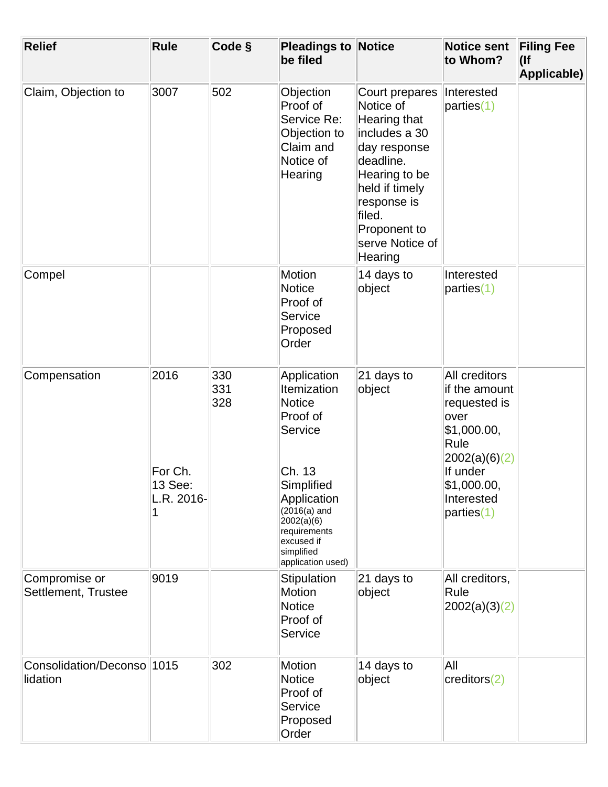| <b>Relief</b>                          | <b>Rule</b>                              | Code §            | <b>Pleadings to Notice</b><br>be filed                                                                                                                                                                     |                                                                                                                                                                                                     | <b>Notice sent</b><br>to Whom?                                                                                                                          | <b>Filing Fee</b><br>$($ lf<br>Applicable) |
|----------------------------------------|------------------------------------------|-------------------|------------------------------------------------------------------------------------------------------------------------------------------------------------------------------------------------------------|-----------------------------------------------------------------------------------------------------------------------------------------------------------------------------------------------------|---------------------------------------------------------------------------------------------------------------------------------------------------------|--------------------------------------------|
| Claim, Objection to                    | 3007                                     | 502               | Objection<br>Proof of<br>Service Re:<br>Objection to<br>Claim and<br>Notice of<br>Hearing                                                                                                                  | Court prepares<br>Notice of<br>Hearing that<br>includes a 30<br>day response<br>deadline.<br>Hearing to be<br>held if timely<br>response is<br>filed.<br>Proponent to<br>serve Notice of<br>Hearing | Interested<br>parties(1)                                                                                                                                |                                            |
| Compel                                 |                                          |                   | <b>Motion</b><br><b>Notice</b><br>Proof of<br>Service<br>Proposed<br>Order                                                                                                                                 | 14 days to<br>object                                                                                                                                                                                | Interested<br>parties(1)                                                                                                                                |                                            |
| Compensation                           | 2016<br>For Ch.<br>13 See:<br>L.R. 2016- | 330<br>331<br>328 | Application<br>Itemization<br><b>Notice</b><br>Proof of<br>Service<br>Ch. 13<br>Simplified<br>Application<br>$(2016(a)$ and<br>2002(a)(6)<br>requirements<br>excused if<br>simplified<br>application used) | 21 days to<br>object                                                                                                                                                                                | All creditors<br>if the amount<br>requested is<br>over<br>\$1,000.00,<br>Rule<br> 2002(a)(6)(2) <br>If under<br>\$1,000.00,<br>Interested<br>parties(1) |                                            |
| Compromise or<br>Settlement, Trustee   | 9019                                     |                   | Stipulation<br><b>Motion</b><br><b>Notice</b><br>Proof of<br>Service                                                                                                                                       | 21 days to<br>object                                                                                                                                                                                | All creditors,<br>Rule<br> 2002(a)(3)(2)                                                                                                                |                                            |
| Consolidation/Deconso 1015<br>lidation |                                          | 302               | <b>Motion</b><br><b>Notice</b><br>Proof of<br>Service<br>Proposed<br>Order                                                                                                                                 | 14 days to<br>object                                                                                                                                                                                | All<br>creditors(2)                                                                                                                                     |                                            |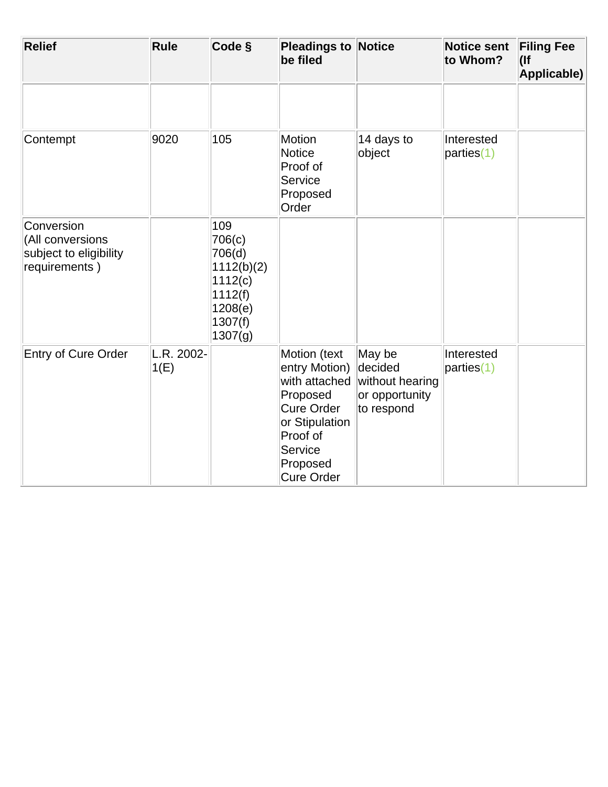| <b>Relief</b>                                                             | Rule               | Code §                                                                                       | <b>Pleadings to Notice</b><br>be filed                                                                                                             |                                                                      | <b>Notice sent</b><br>to Whom? | <b>Filing Fee</b><br>$($ lf<br>Applicable) |
|---------------------------------------------------------------------------|--------------------|----------------------------------------------------------------------------------------------|----------------------------------------------------------------------------------------------------------------------------------------------------|----------------------------------------------------------------------|--------------------------------|--------------------------------------------|
|                                                                           |                    |                                                                                              |                                                                                                                                                    |                                                                      |                                |                                            |
| Contempt                                                                  | 9020               | 105                                                                                          | Motion<br><b>Notice</b><br>Proof of<br>Service<br>Proposed<br>Order                                                                                | 14 days to<br>object                                                 | Interested<br>parties(1)       |                                            |
| Conversion<br>(All conversions<br>subject to eligibility<br>requirements) |                    | 109<br>706(c)<br>706(d)<br>1112(b)(2)<br>1112(c)<br>1112(f)<br>1208(e)<br>1307(f)<br>1307(g) |                                                                                                                                                    |                                                                      |                                |                                            |
| Entry of Cure Order                                                       | L.R. 2002-<br>1(E) |                                                                                              | Motion (text<br>entry Motion)<br>with attached<br>Proposed<br><b>Cure Order</b><br>or Stipulation<br>Proof of<br>Service<br>Proposed<br>Cure Order | May be<br>decided<br>without hearing<br>or opportunity<br>to respond | Interested<br>parties(1)       |                                            |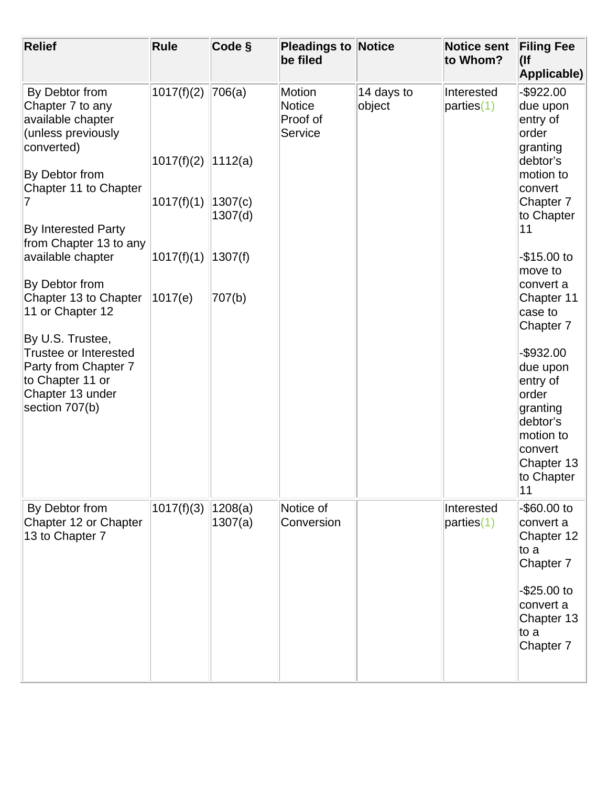| <b>Rule</b> | Code §             | be filed                                              |                      | <b>Notice sent</b><br>to Whom? | <b>Filing Fee</b><br>$($ lf<br>Applicable)                                                                                      |
|-------------|--------------------|-------------------------------------------------------|----------------------|--------------------------------|---------------------------------------------------------------------------------------------------------------------------------|
| 1017(f)(2)  | 706(a)             | <b>Motion</b><br><b>Notice</b><br>Proof of<br>Service | 14 days to<br>object | Interested<br>parties(1)       | $-$ \$922.00<br>due upon<br>entry of<br>order<br>granting<br>debtor's                                                           |
| 1017(f)(1)  | 1307(c)<br>1307(d) |                                                       |                      |                                | motion to<br>convert<br>Chapter 7<br>to Chapter                                                                                 |
| 1017(f)(1)  | 1307(f)            |                                                       |                      |                                | 11<br>-\$15.00 to                                                                                                               |
| 1017(e)     | 707(b)             |                                                       |                      |                                | move to<br>convert a<br>Chapter 11<br>case to<br>Chapter 7                                                                      |
|             |                    |                                                       |                      |                                | $-$ \$932.00<br>due upon<br>entry of<br>order<br>granting<br>debtor's<br>motion to<br>convert<br>Chapter 13<br>to Chapter<br>11 |
| 1017(f)(3)  | 1208(a)<br>1307(a) | Notice of<br>Conversion                               |                      | Interested<br>parties(1)       | $-$ \$60.00 to<br>convert a<br>Chapter 12<br>to a<br>Chapter 7                                                                  |
|             |                    |                                                       |                      |                                | -\$25.00 to<br>convert a<br>Chapter 13<br>to a<br>Chapter 7                                                                     |
|             | 1017(f)(2)         | 1112(a)                                               |                      | <b>Pleadings to Notice</b>     |                                                                                                                                 |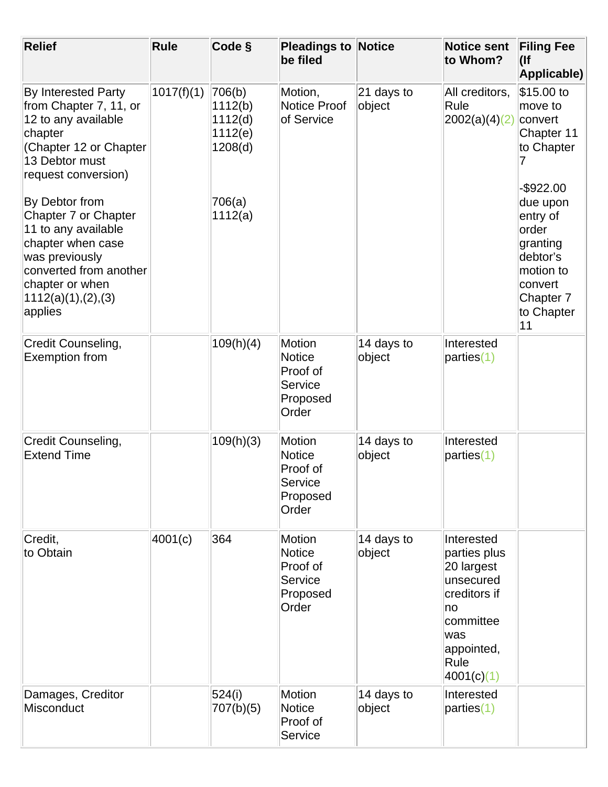| <b>Relief</b>                                                                                                                                                                                                                                                                                                                                   | Rule       | Code §                                                                  | <b>Pleadings to</b><br>be filed                                     | <b>Notice</b>           | <b>Notice sent</b><br>to Whom?                                                                                                      | <b>Filing Fee</b><br>$($ lf<br>Applicable)                                                                                                                                                      |
|-------------------------------------------------------------------------------------------------------------------------------------------------------------------------------------------------------------------------------------------------------------------------------------------------------------------------------------------------|------------|-------------------------------------------------------------------------|---------------------------------------------------------------------|-------------------------|-------------------------------------------------------------------------------------------------------------------------------------|-------------------------------------------------------------------------------------------------------------------------------------------------------------------------------------------------|
| <b>By Interested Party</b><br>from Chapter 7, 11, or<br>12 to any available<br>chapter<br>(Chapter 12 or Chapter<br>13 Debtor must<br>request conversion)<br>By Debtor from<br>Chapter 7 or Chapter<br>11 to any available<br>chapter when case<br>was previously<br>converted from another<br>chapter or when<br>1112(a)(1),(2),(3)<br>applies | 1017(f)(1) | 706(b)<br>1112(b)<br>1112(d)<br>1112(e)<br>1208(d)<br>706(a)<br>1112(a) | Motion,<br>Notice Proof<br>of Service                               | $ 21$ days to<br>object | All creditors,<br>Rule<br>2002(a)(4)(2)                                                                                             | \$15.00 to<br>move to<br>convert<br>Chapter 11<br>to Chapter<br>$-$ \$922.00<br>due upon<br>entry of<br>order<br>granting<br>debtor's<br>motion to<br>convert<br>Chapter 7<br>to Chapter<br> 11 |
| Credit Counseling,<br><b>Exemption from</b>                                                                                                                                                                                                                                                                                                     |            | 109(h)(4)                                                               | Motion<br><b>Notice</b><br>Proof of<br>Service<br>Proposed<br>Order | 14 days to<br>object    | Interested<br>parties(1)                                                                                                            |                                                                                                                                                                                                 |
| Credit Counseling,<br><b>Extend Time</b>                                                                                                                                                                                                                                                                                                        |            | 109(h)(3)                                                               | Motion<br><b>Notice</b><br>Proof of<br>Service<br>Proposed<br>Order | 14 days to<br>object    | Interested<br>parties(1)                                                                                                            |                                                                                                                                                                                                 |
| Credit,<br>to Obtain                                                                                                                                                                                                                                                                                                                            | 4001(c)    | 364                                                                     | Motion<br><b>Notice</b><br>Proof of<br>Service<br>Proposed<br>Order | 14 days to<br>object    | Interested<br>parties plus<br>20 largest<br>unsecured<br>creditors if<br>no<br>committee<br>was<br>appointed,<br>Rule<br>4001(c)(1) |                                                                                                                                                                                                 |
| Damages, Creditor<br>Misconduct                                                                                                                                                                                                                                                                                                                 |            | 524(i)<br>707(b)(5)                                                     | Motion<br><b>Notice</b><br>Proof of<br>Service                      | 14 days to<br>object    | Interested<br>parties(1)                                                                                                            |                                                                                                                                                                                                 |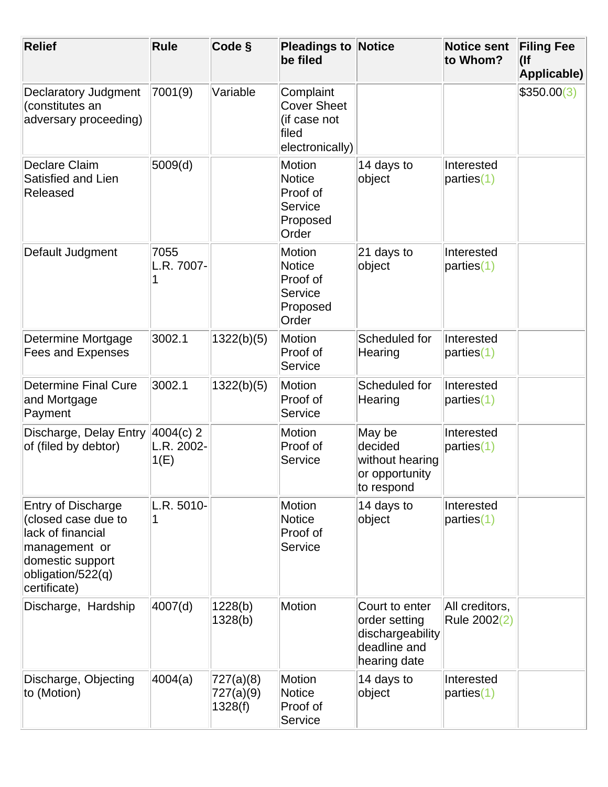| <b>Relief</b>                                                                                                                                   | <b>Rule</b>                       | Code §                            | <b>Pleadings to Notice</b><br>be filed                                      |                                                                                     | <b>Notice sent</b><br>to Whom? | <b>Filing Fee</b><br>$($ lf<br>Applicable) |
|-------------------------------------------------------------------------------------------------------------------------------------------------|-----------------------------------|-----------------------------------|-----------------------------------------------------------------------------|-------------------------------------------------------------------------------------|--------------------------------|--------------------------------------------|
| <b>Declaratory Judgment</b><br>(constitutes an<br>adversary proceeding)                                                                         | 7001(9)                           | Variable                          | Complaint<br><b>Cover Sheet</b><br>(if case not<br>filed<br>electronically) |                                                                                     |                                | \$350.00(3)                                |
| Declare Claim<br>Satisfied and Lien<br>Released                                                                                                 | 5009(d)                           |                                   | Motion<br><b>Notice</b><br>Proof of<br>Service<br>Proposed<br>Order         | 14 days to<br>object                                                                | Interested<br>parties(1)       |                                            |
| Default Judgment                                                                                                                                | 7055<br>L.R. 7007-<br>1           |                                   | Motion<br><b>Notice</b><br>Proof of<br>Service<br>Proposed<br>Order         | 21 days to<br>object                                                                | Interested<br>parties(1)       |                                            |
| Determine Mortgage<br><b>Fees and Expenses</b>                                                                                                  | 3002.1                            | 1322(b)(5)                        | Motion<br>Proof of<br>Service                                               | Scheduled for<br>Hearing                                                            | Interested<br>parties(1)       |                                            |
| <b>Determine Final Cure</b><br>and Mortgage<br>Payment                                                                                          | 3002.1                            | 1322(b)(5)                        | <b>Motion</b><br>Proof of<br>Service                                        | Scheduled for<br>Hearing                                                            | Interested<br>parties(1)       |                                            |
| Discharge, Delay Entry<br>of (filed by debtor)                                                                                                  | $4004(c)$ 2<br>L.R. 2002-<br>1(E) |                                   | <b>Motion</b><br>Proof of<br>Service                                        | May be<br>decided<br>without hearing<br>or opportunity<br>to respond                | Interested<br>parties(1)       |                                            |
| <b>Entry of Discharge</b><br>(closed case due to<br>lack of financial<br>management or<br>domestic support<br>obligation/522(q)<br>certificate) | L.R. 5010-<br>1                   |                                   | <b>Motion</b><br><b>Notice</b><br>Proof of<br>Service                       | 14 days to<br>object                                                                | Interested<br>parties(1)       |                                            |
| Discharge, Hardship                                                                                                                             | 4007(d)                           | 1228(b)<br>1328(b)                | Motion                                                                      | Court to enter<br>order setting<br>dischargeability<br>deadline and<br>hearing date | All creditors,<br>Rule 2002(2) |                                            |
| Discharge, Objecting<br>to (Motion)                                                                                                             | 4004(a)                           | 727(a)(8)<br>727(a)(9)<br>1328(f) | <b>Motion</b><br><b>Notice</b><br>Proof of<br>Service                       | 14 days to<br>object                                                                | Interested<br>parties(1)       |                                            |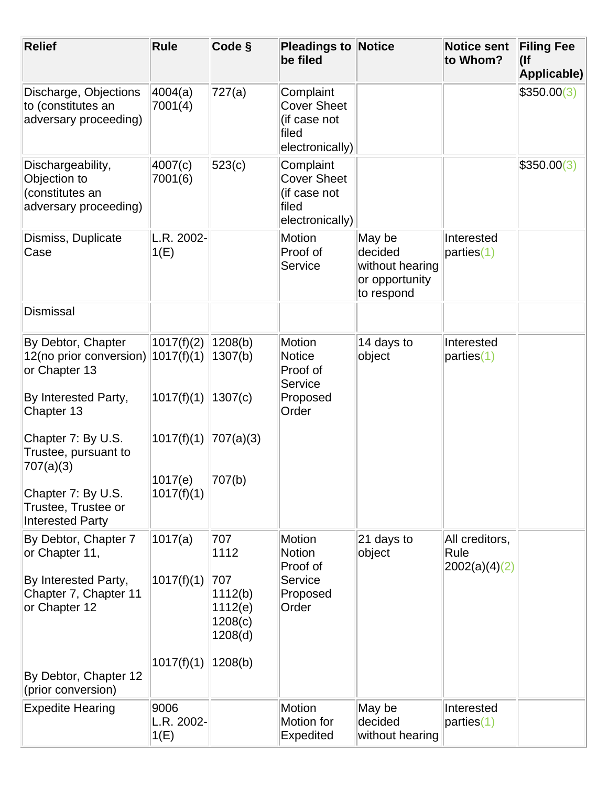| <b>Relief</b>                                                                 | <b>Rule</b>                | Code §                                          | <b>Pleadings to Notice</b><br>be filed                                      |                                                                      | <b>Notice sent</b><br>to Whom? | <b>Filing Fee</b><br>$($ lf<br>Applicable) |
|-------------------------------------------------------------------------------|----------------------------|-------------------------------------------------|-----------------------------------------------------------------------------|----------------------------------------------------------------------|--------------------------------|--------------------------------------------|
| Discharge, Objections<br>to (constitutes an<br>adversary proceeding)          | 4004(a)<br>7001(4)         | 727(a)                                          | Complaint<br><b>Cover Sheet</b><br>(if case not<br>filed<br>electronically) |                                                                      |                                | \$350.00(3)                                |
| Dischargeability,<br>Objection to<br>(constitutes an<br>adversary proceeding) | 4007(c)<br>7001(6)         | 523(c)                                          | Complaint<br><b>Cover Sheet</b><br>(if case not<br>filed<br>electronically) |                                                                      |                                | \$350.00(3)                                |
| Dismiss, Duplicate<br>Case                                                    | L.R. 2002-<br>1(E)         |                                                 | Motion<br>Proof of<br>Service                                               | May be<br>decided<br>without hearing<br>or opportunity<br>to respond | Interested<br>parties(1)       |                                            |
| <b>Dismissal</b>                                                              |                            |                                                 |                                                                             |                                                                      |                                |                                            |
| By Debtor, Chapter<br>12(no prior conversion)<br>or Chapter 13                | 1017(f)(2)<br>1017(f)(1)   | 1208(b)<br>1307(b)                              | Motion<br><b>Notice</b><br>Proof of<br>Service                              | 14 days to<br>object                                                 | Interested<br>parties(1)       |                                            |
| By Interested Party,<br>Chapter 13                                            | 1017(f)(1)                 | 1307(c)                                         | Proposed<br>Order                                                           |                                                                      |                                |                                            |
| Chapter 7: By U.S.<br>Trustee, pursuant to<br>707(a)(3)                       | 1017(f)(1)                 | 707(a)(3)                                       |                                                                             |                                                                      |                                |                                            |
| Chapter 7: By U.S.<br>Trustee, Trustee or<br><b>Interested Party</b>          | 1017(e)<br>1017(f)(1)      | 707(b)                                          |                                                                             |                                                                      |                                |                                            |
| By Debtor, Chapter 7<br>or Chapter 11,                                        | 1017(a)                    | 707<br>1112                                     | <b>Motion</b><br><b>Notion</b>                                              | 21 days to<br>object                                                 | All creditors,<br>Rule         |                                            |
| By Interested Party,<br>Chapter 7, Chapter 11<br>or Chapter 12                | 1017(f)(1)                 | 707<br>1112(b)<br>1112(e)<br>1208(c)<br>1208(d) | Proof of<br>Service<br>Proposed<br>Order                                    |                                                                      | 2002(a)(4)(2)                  |                                            |
| By Debtor, Chapter 12<br>(prior conversion)                                   | 1017(f)(1)                 | 1208(b)                                         |                                                                             |                                                                      |                                |                                            |
| <b>Expedite Hearing</b>                                                       | 9006<br>L.R. 2002-<br>1(E) |                                                 | <b>Motion</b><br>Motion for<br>Expedited                                    | May be<br>decided<br>without hearing                                 | Interested<br>parties(1)       |                                            |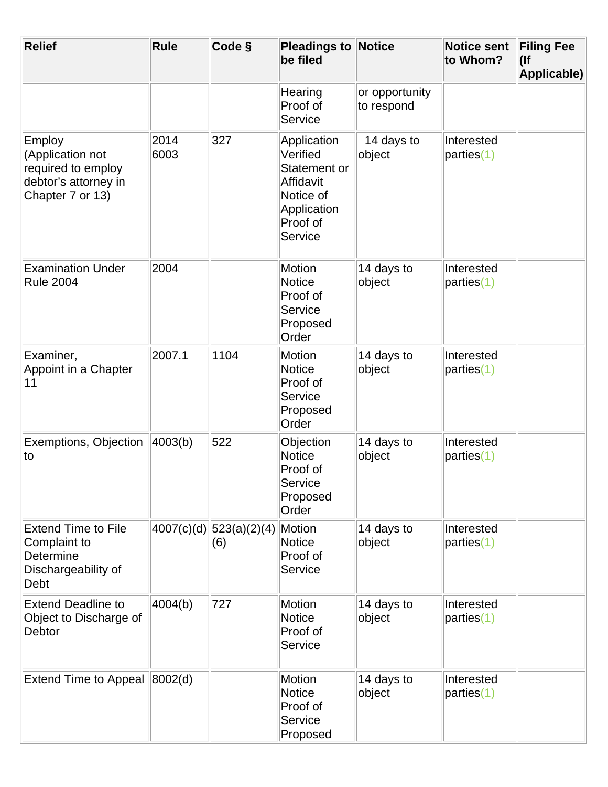| <b>Relief</b>                                                                                | Rule         | Code §                          | <b>Pleadings to Notice</b><br>be filed                                                                  |                              | <b>Notice sent</b><br>to Whom? | <b>Filing Fee</b><br>$($ lf<br>Applicable) |
|----------------------------------------------------------------------------------------------|--------------|---------------------------------|---------------------------------------------------------------------------------------------------------|------------------------------|--------------------------------|--------------------------------------------|
|                                                                                              |              |                                 | Hearing<br>Proof of<br>Service                                                                          | or opportunity<br>to respond |                                |                                            |
| Employ<br>(Application not<br>required to employ<br>debtor's attorney in<br>Chapter 7 or 13) | 2014<br>6003 | 327                             | Application<br>Verified<br>Statement or<br>Affidavit<br>Notice of<br>Application<br>Proof of<br>Service | 14 days to<br>object         | Interested<br>parties(1)       |                                            |
| <b>Examination Under</b><br><b>Rule 2004</b>                                                 | 2004         |                                 | Motion<br><b>Notice</b><br>Proof of<br>Service<br>Proposed<br>Order                                     | 14 days to<br>object         | Interested<br>parties(1)       |                                            |
| Examiner,<br>Appoint in a Chapter<br>11                                                      | 2007.1       | 1104                            | <b>Motion</b><br><b>Notice</b><br>Proof of<br>Service<br>Proposed<br>Order                              | 14 days to<br>object         | Interested<br>parties(1)       |                                            |
| Exemptions, Objection<br>to                                                                  | 4003(b)      | 522                             | Objection<br><b>Notice</b><br>Proof of<br>Service<br>Proposed<br>Order                                  | 14 days to<br>object         | Interested<br>parties(1)       |                                            |
| <b>Extend Time to File</b><br>Complaint to<br>Determine<br>Dischargeability of<br>Debt       |              | 4007(c)(d) 523(a)(2)(4) <br>(6) | Motion<br><b>Notice</b><br>Proof of<br>Service                                                          | 14 days to<br>object         | Interested<br>parties(1)       |                                            |
| <b>Extend Deadline to</b><br>Object to Discharge of<br>Debtor                                | 4004(b)      | 727                             | <b>Motion</b><br><b>Notice</b><br>Proof of<br>Service                                                   | 14 days to<br>object         | Interested<br>parties(1)       |                                            |
| Extend Time to Appeal  8002(d)                                                               |              |                                 | Motion<br><b>Notice</b><br>Proof of<br>Service<br>Proposed                                              | 14 days to<br>object         | Interested<br>parties(1)       |                                            |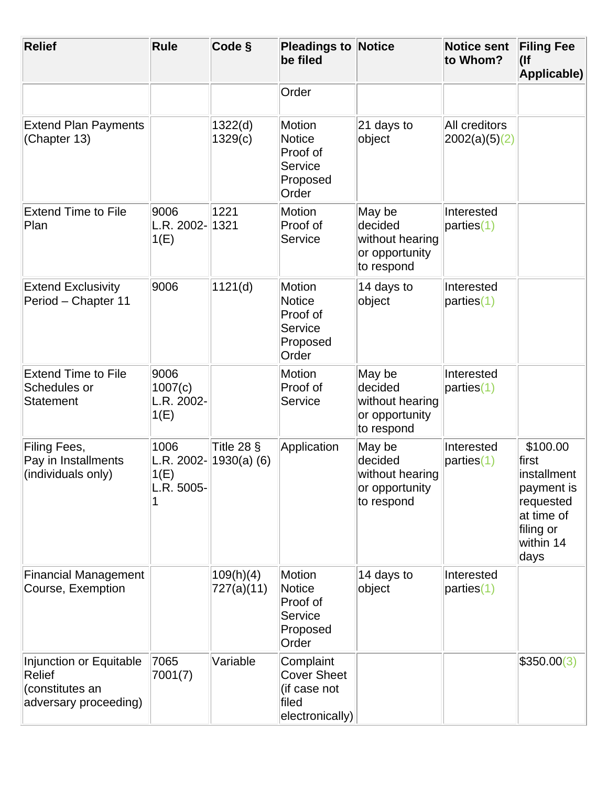| <b>Relief</b>                                                                        | <b>Rule</b>                                | Code §                         | <b>Pleadings to Notice</b><br>be filed                                      |                                                                      | <b>Notice sent</b><br>to Whom? | <b>Filing Fee</b><br>$($ lf<br>Applicable)                                                                  |
|--------------------------------------------------------------------------------------|--------------------------------------------|--------------------------------|-----------------------------------------------------------------------------|----------------------------------------------------------------------|--------------------------------|-------------------------------------------------------------------------------------------------------------|
|                                                                                      |                                            |                                | Order                                                                       |                                                                      |                                |                                                                                                             |
| <b>Extend Plan Payments</b><br>(Chapter 13)                                          |                                            | 1322(d)<br>1329(c)             | <b>Motion</b><br><b>Notice</b><br>Proof of<br>Service<br>Proposed<br>Order  | 21 days to<br>object                                                 | All creditors<br>2002(a)(5)(2) |                                                                                                             |
| <b>Extend Time to File</b><br>Plan                                                   | 9006<br>L.R. 2002-<br>1(E)                 | 1221<br>1321                   | <b>Motion</b><br>Proof of<br>Service                                        | May be<br>decided<br>without hearing<br>or opportunity<br>to respond | Interested<br>parties(1)       |                                                                                                             |
| <b>Extend Exclusivity</b><br>Period - Chapter 11                                     | 9006                                       | 1121(d)                        | <b>Motion</b><br><b>Notice</b><br>Proof of<br>Service<br>Proposed<br>Order  | 14 days to<br>object                                                 | Interested<br>parties(1)       |                                                                                                             |
| <b>Extend Time to File</b><br>Schedules or<br><b>Statement</b>                       | 9006<br>1007(c)<br>L.R. 2002-<br>1(E)      |                                | <b>Motion</b><br>Proof of<br>Service                                        | May be<br>decided<br>without hearing<br>or opportunity<br>to respond | Interested<br>parties(1)       |                                                                                                             |
| Filing Fees,<br>Pay in Installments<br>(individuals only)                            | 1006<br>L.R. 2002-<br>1(E)<br>$L.R. 5005-$ | Title 28 $\S$<br>$1930(a)$ (6) | Application                                                                 | May be<br>decided<br>without hearing<br>or opportunity<br>to respond | Interested<br>parties(1)       | \$100.00<br>first<br>installment<br>payment is<br>requested<br>at time of<br>filing or<br>within 14<br>days |
| <b>Financial Management</b><br>Course, Exemption                                     |                                            | 109(h)(4)<br>727(a)(11)        | <b>Motion</b><br><b>Notice</b><br>Proof of<br>Service<br>Proposed<br>Order  | 14 days to<br>object                                                 | Interested<br>parties(1)       |                                                                                                             |
| Injunction or Equitable<br><b>Relief</b><br>(constitutes an<br>adversary proceeding) | 7065<br>7001(7)                            | Variable                       | Complaint<br><b>Cover Sheet</b><br>(if case not<br>filed<br>electronically) |                                                                      |                                | \$350.00(3)                                                                                                 |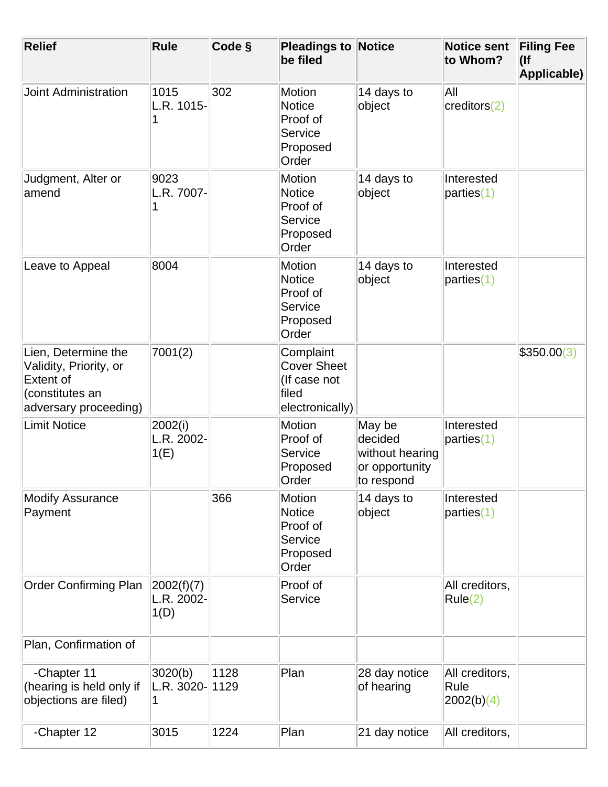| <b>Relief</b>                                                                                                 | Rule                              | Code §       | <b>Pleadings to Notice</b><br>be filed                                      |                                                                      | <b>Notice sent</b><br>to Whom?        | <b>Filing Fee</b><br>$($ lf<br>Applicable) |
|---------------------------------------------------------------------------------------------------------------|-----------------------------------|--------------|-----------------------------------------------------------------------------|----------------------------------------------------------------------|---------------------------------------|--------------------------------------------|
| <b>Joint Administration</b>                                                                                   | 1015<br>L.R. 1015-                | 302          | Motion<br><b>Notice</b><br>Proof of<br>Service<br>Proposed<br>Order         | 14 days to<br>object                                                 | All<br>creditors(2)                   |                                            |
| Judgment, Alter or<br>amend                                                                                   | 9023<br>L.R. 7007-                |              | <b>Motion</b><br><b>Notice</b><br>Proof of<br>Service<br>Proposed<br>Order  | 14 days to<br>object                                                 | Interested<br>parties(1)              |                                            |
| Leave to Appeal                                                                                               | 8004                              |              | <b>Motion</b><br><b>Notice</b><br>Proof of<br>Service<br>Proposed<br>Order  | 14 days to<br>object                                                 | Interested<br>parties(1)              |                                            |
| Lien, Determine the<br>Validity, Priority, or<br><b>Extent of</b><br>(constitutes an<br>adversary proceeding) | 7001(2)                           |              | Complaint<br><b>Cover Sheet</b><br>(If case not<br>filed<br>electronically) |                                                                      |                                       | \$350.00(3)                                |
| <b>Limit Notice</b>                                                                                           | 2002(i)<br>L.R. 2002-<br>1(E)     |              | <b>Motion</b><br>Proof of<br>Service<br>Proposed<br>Order                   | May be<br>decided<br>without hearing<br>or opportunity<br>to respond | Interested<br>parties(1)              |                                            |
| <b>Modify Assurance</b><br>Payment                                                                            |                                   | 366          | <b>Motion</b><br><b>Notice</b><br>Proof of<br>Service<br>Proposed<br>Order  | 14 days to<br>object                                                 | Interested<br>parties(1)              |                                            |
| <b>Order Confirming Plan</b>                                                                                  | 2002(f)(7) <br>L.R. 2002-<br>1(D) |              | Proof of<br>Service                                                         |                                                                      | All creditors,<br>Rule(2)             |                                            |
| Plan, Confirmation of                                                                                         |                                   |              |                                                                             |                                                                      |                                       |                                            |
| -Chapter 11<br>(hearing is held only if<br>objections are filed)                                              | 3020(b)<br>$ L.R. 3020 -  $       | 1128<br>1129 | Plan                                                                        | 28 day notice<br>of hearing                                          | All creditors,<br>Rule<br> 2002(b)(4) |                                            |
| -Chapter 12                                                                                                   | 3015                              | 1224         | Plan                                                                        | 21 day notice                                                        | All creditors,                        |                                            |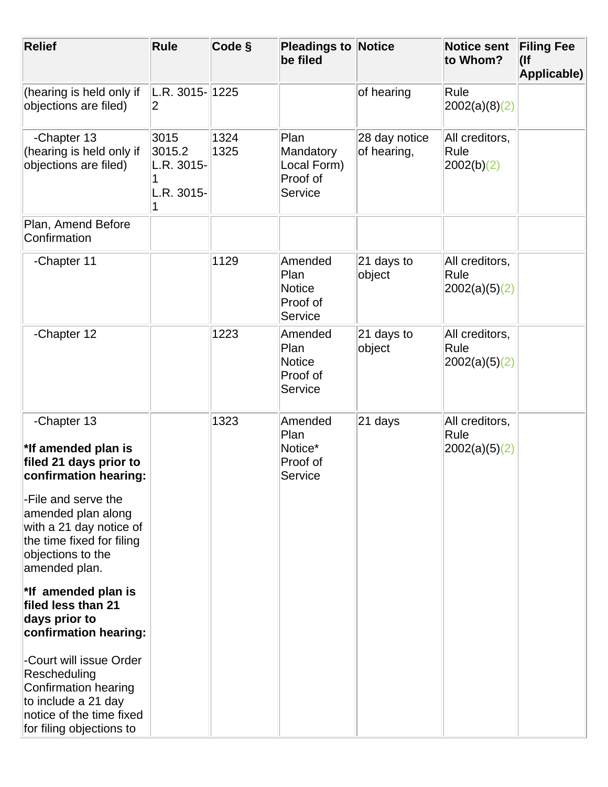| <b>Relief</b>                                                                                                                                  | <b>Rule</b>                                | Code §       | <b>Pleadings to Notice</b><br>be filed                  |                              | <b>Notice sent</b><br>to Whom?           | <b>Filing Fee</b><br>$($ lf<br>Applicable) |
|------------------------------------------------------------------------------------------------------------------------------------------------|--------------------------------------------|--------------|---------------------------------------------------------|------------------------------|------------------------------------------|--------------------------------------------|
| (hearing is held only if<br>objections are filed)                                                                                              | L.R. 3015-1225<br>2                        |              |                                                         | of hearing                   | Rule<br>2002(a)(8)(2)                    |                                            |
| -Chapter 13<br>(hearing is held only if<br>objections are filed)                                                                               | 3015<br>3015.2<br>L.R. 3015-<br>L.R. 3015- | 1324<br>1325 | Plan<br>Mandatory<br>Local Form)<br>Proof of<br>Service | 28 day notice<br>of hearing, | All creditors,<br>Rule<br> 2002(b)(2)    |                                            |
| Plan, Amend Before<br>Confirmation                                                                                                             |                                            |              |                                                         |                              |                                          |                                            |
| -Chapter 11                                                                                                                                    |                                            | 1129         | Amended<br>Plan<br><b>Notice</b><br>Proof of<br>Service | $21$ days to<br>object       | All creditors,<br>Rule<br> 2002(a)(5)(2) |                                            |
| -Chapter 12                                                                                                                                    |                                            | 1223         | Amended<br>Plan<br><b>Notice</b><br>Proof of<br>Service | $21$ days to<br>object       | All creditors,<br>Rule<br> 2002(a)(5)(2) |                                            |
| -Chapter 13<br>*If amended plan is<br>filed 21 days prior to<br>confirmation hearing:                                                          |                                            | 1323         | Amended<br>Plan<br>Notice*<br>Proof of<br>Service       | 21 days                      | All creditors,<br>Rule<br> 2002(a)(5)(2) |                                            |
| -File and serve the<br>amended plan along<br>with a 21 day notice of<br>the time fixed for filing<br>objections to the<br>amended plan.        |                                            |              |                                                         |                              |                                          |                                            |
| $^*$ If amended plan is<br>filed less than 21<br>days prior to<br>confirmation hearing:                                                        |                                            |              |                                                         |                              |                                          |                                            |
| -Court will issue Order<br>Rescheduling<br>Confirmation hearing<br>to include a 21 day<br>notice of the time fixed<br>for filing objections to |                                            |              |                                                         |                              |                                          |                                            |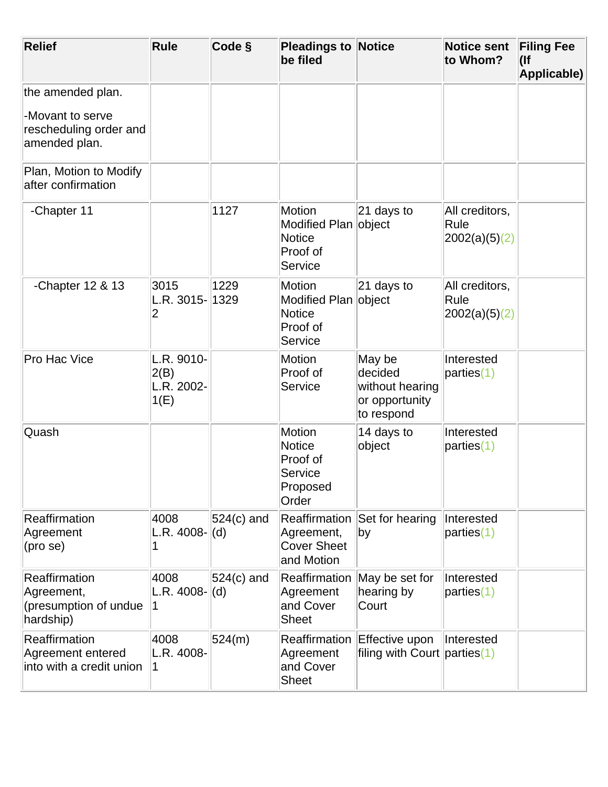| <b>Relief</b>                                                                    | <b>Rule</b>                                  | Code §        | <b>Pleadings to Notice</b><br>be filed                                 |                                                                      | <b>Notice sent</b><br>to Whom?           | <b>Filing Fee</b><br>$($ lf<br>Applicable) |
|----------------------------------------------------------------------------------|----------------------------------------------|---------------|------------------------------------------------------------------------|----------------------------------------------------------------------|------------------------------------------|--------------------------------------------|
| the amended plan.<br>-Movant to serve<br>rescheduling order and<br>amended plan. |                                              |               |                                                                        |                                                                      |                                          |                                            |
| Plan, Motion to Modify<br>after confirmation                                     |                                              |               |                                                                        |                                                                      |                                          |                                            |
| -Chapter 11                                                                      |                                              | 1127          | Motion<br>Modified Plan object<br>Notice<br>Proof of<br>Service        | 21 days to                                                           | All creditors,<br>Rule<br> 2002(a)(5)(2) |                                            |
| -Chapter 12 & 13                                                                 | 3015<br>L.R. 3015-1329<br>2                  | 1229          | Motion<br>Modified Plan<br>Notice<br>Proof of<br>Service               | $ 21$ days to<br>object                                              | All creditors,<br>Rule<br> 2002(a)(5)(2) |                                            |
| Pro Hac Vice                                                                     | L.R. 9010-<br>2(B)<br>L.R. 2002-<br>1(E)     |               | Motion<br>Proof of<br>Service                                          | May be<br>decided<br>without hearing<br>or opportunity<br>to respond | Interested<br>parties(1)                 |                                            |
| Quash                                                                            |                                              |               | Motion<br>Notice<br>Proof of<br>Service<br>Proposed<br>Order           | 14 days to<br>object                                                 | Interested<br>parties(1)                 |                                            |
| Reaffirmation<br>Agreement<br>(pro se)                                           | 4008<br>L.R. $4008$ - $\vert d \rangle$<br>1 | $ 524(c)$ and | <b>Reaffirmation</b><br>Agreement,<br><b>Cover Sheet</b><br>and Motion | Set for hearing<br>by                                                | Interested<br>parties(1)                 |                                            |
| <b>Reaffirmation</b><br>Agreement,<br>(presumption of undue<br>hardship)         | 4008<br>L.R. $4008$ - $\vert d \rangle$<br>1 | $ 524(c)$ and | <b>Reaffirmation</b><br>Agreement<br>and Cover<br><b>Sheet</b>         | May be set for<br>hearing by<br>Court                                | Interested<br>parties(1)                 |                                            |
| Reaffirmation<br>Agreement entered<br>into with a credit union                   | 4008<br>L.R. 4008-<br>1                      | 524(m)        | Reaffirmation<br>Agreement<br>and Cover<br><b>Sheet</b>                | Effective upon<br>filing with Court parties(1)                       | Interested                               |                                            |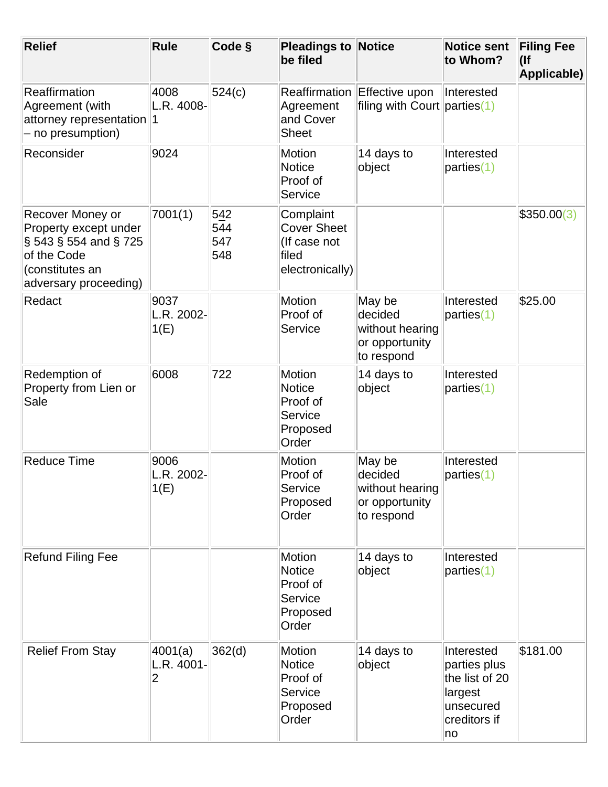| <b>Relief</b>                                                                                                                    | <b>Rule</b>                | Code §                   | <b>Pleadings to Notice</b><br>be filed                                      |                                                                      | <b>Notice sent</b><br>to Whom?                                                             | <b>Filing Fee</b><br>$($ lf<br>Applicable) |
|----------------------------------------------------------------------------------------------------------------------------------|----------------------------|--------------------------|-----------------------------------------------------------------------------|----------------------------------------------------------------------|--------------------------------------------------------------------------------------------|--------------------------------------------|
| Reaffirmation<br>Agreement (with<br>attorney representation<br>- no presumption)                                                 | 4008<br>L.R. 4008-<br>1    | 524(c)                   | Reaffirmation<br>Agreement<br>and Cover<br><b>Sheet</b>                     | Effective upon<br>filing with Court parties(1)                       | Interested                                                                                 |                                            |
| Reconsider                                                                                                                       | 9024                       |                          | <b>Motion</b><br><b>Notice</b><br>Proof of<br>Service                       | 14 days to<br>object                                                 | Interested<br>parties(1)                                                                   |                                            |
| Recover Money or<br>Property except under<br>$\S$ 543 § 554 and § 725<br>of the Code<br>(constitutes an<br>adversary proceeding) | 7001(1)                    | 542<br>544<br>547<br>548 | Complaint<br><b>Cover Sheet</b><br>(If case not<br>filed<br>electronically) |                                                                      |                                                                                            | \$350.00(3)                                |
| Redact                                                                                                                           | 9037<br>L.R. 2002-<br>1(E) |                          | <b>Motion</b><br>Proof of<br>Service                                        | May be<br>decided<br>without hearing<br>or opportunity<br>to respond | Interested<br>parties(1)                                                                   | \$25.00                                    |
| Redemption of<br>Property from Lien or<br>Sale                                                                                   | 6008                       | 722                      | <b>Motion</b><br><b>Notice</b><br>Proof of<br>Service<br>Proposed<br>Order  | 14 days to<br>object                                                 | Interested<br>parties(1)                                                                   |                                            |
| <b>Reduce Time</b>                                                                                                               | 9006<br>L.R. 2002-<br>1(E) |                          | <b>Motion</b><br>Proof of<br>Service<br>Proposed<br>Order                   | May be<br>decided<br>without hearing<br>or opportunity<br>to respond | Interested<br>parties(1)                                                                   |                                            |
| <b>Refund Filing Fee</b>                                                                                                         |                            |                          | <b>Motion</b><br><b>Notice</b><br>Proof of<br>Service<br>Proposed<br>Order  | 14 days to<br>object                                                 | Interested<br>parties(1)                                                                   |                                            |
| <b>Relief From Stay</b>                                                                                                          | 4001(a)<br>L.R. 4001-<br>2 | 362(d)                   | <b>Motion</b><br><b>Notice</b><br>Proof of<br>Service<br>Proposed<br>Order  | 14 days to<br>object                                                 | Interested<br>parties plus<br>the list of 20<br>largest<br>unsecured<br>creditors if<br>no | \$181.00                                   |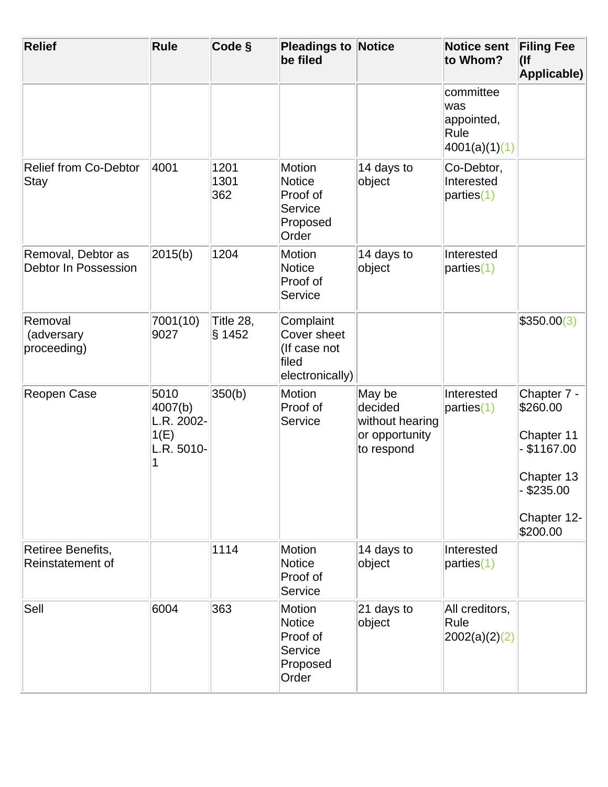| <b>Relief</b>                               | <b>Rule</b>                                              | Code §              | <b>Pleadings to Notice</b><br>be filed                               |                                                                      | <b>Notice sent</b><br>to Whom?                          | <b>Filing Fee</b><br>$($ lf<br>Applicable)                                                                  |
|---------------------------------------------|----------------------------------------------------------|---------------------|----------------------------------------------------------------------|----------------------------------------------------------------------|---------------------------------------------------------|-------------------------------------------------------------------------------------------------------------|
|                                             |                                                          |                     |                                                                      |                                                                      | committee<br>was<br>appointed,<br>Rule<br>4001(a)(1)(1) |                                                                                                             |
| <b>Relief from Co-Debtor</b><br><b>Stay</b> | 4001                                                     | 1201<br>1301<br>362 | Motion<br><b>Notice</b><br>Proof of<br>Service<br>Proposed<br>Order  | 14 days to<br>object                                                 | Co-Debtor,<br>Interested<br>parties(1)                  |                                                                                                             |
| Removal, Debtor as<br>Debtor In Possession  | 2015(b)                                                  | 1204                | <b>Motion</b><br>Notice<br>Proof of<br>Service                       | 14 days to<br>object                                                 | Interested<br>parties(1)                                |                                                                                                             |
| Removal<br>(adversary<br>proceeding)        | 7001(10)<br>9027                                         | Title 28,<br>§ 1452 | Complaint<br>Cover sheet<br>(If case not<br>filed<br>electronically) |                                                                      |                                                         | \$350.00(3)                                                                                                 |
| Reopen Case                                 | 5010<br>4007(b)<br>L.R. 2002-<br>1(E)<br>L.R. 5010-<br>1 | 350(b)              | <b>Motion</b><br>Proof of<br>Service                                 | May be<br>decided<br>without hearing<br>or opportunity<br>to respond | Interested<br>parties(1)                                | Chapter 7 -<br>\$260.00<br>Chapter 11<br>$-$ \$1167.00<br>Chapter 13<br>\$235.00<br>Chapter 12-<br>\$200.00 |
| Retiree Benefits,<br>Reinstatement of       |                                                          | 1114                | <b>Motion</b><br><b>Notice</b><br>Proof of<br>Service                | 14 days to<br>object                                                 | Interested<br>parties(1)                                |                                                                                                             |
| Sell                                        | 6004                                                     | 363                 | Motion<br><b>Notice</b><br>Proof of<br>Service<br>Proposed<br>Order  | 21 days to<br>object                                                 | All creditors,<br>Rule<br>2002(a)(2)(2)                 |                                                                                                             |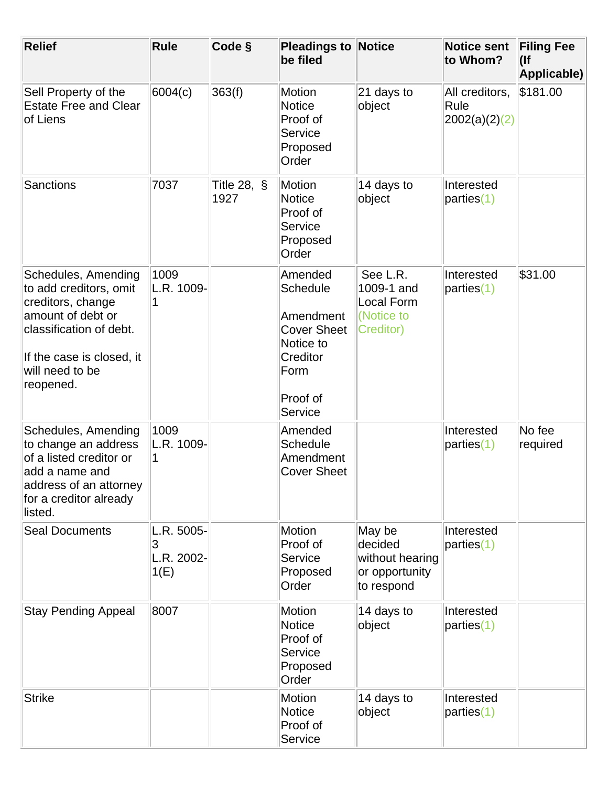| <b>Relief</b>                                                                                                                                                                   | Rule                                  | Code §                 | <b>Pleadings to Notice</b><br>be filed                                                                                |                                                                        | <b>Notice sent</b><br>to Whom?          | <b>Filing Fee</b><br>$($ lf<br>Applicable) |
|---------------------------------------------------------------------------------------------------------------------------------------------------------------------------------|---------------------------------------|------------------------|-----------------------------------------------------------------------------------------------------------------------|------------------------------------------------------------------------|-----------------------------------------|--------------------------------------------|
| Sell Property of the<br><b>Estate Free and Clear</b><br>of Liens                                                                                                                | 6004(c)                               | 363(f)                 | <b>Motion</b><br><b>Notice</b><br>Proof of<br>Service<br>Proposed<br>Order                                            | 21 days to<br>object                                                   | All creditors,<br>Rule<br>2002(a)(2)(2) | \$181.00                                   |
| <b>Sanctions</b>                                                                                                                                                                | 7037                                  | Title 28, $\S$<br>1927 | Motion<br><b>Notice</b><br>Proof of<br>Service<br>Proposed<br>Order                                                   | 14 days to<br>object                                                   | Interested<br>parties(1)                |                                            |
| Schedules, Amending<br>to add creditors, omit<br>creditors, change<br>amount of debt or<br>classification of debt.<br>If the case is closed, it<br>will need to be<br>reopened. | 1009<br>L.R. 1009-                    |                        | Amended<br><b>Schedule</b><br>Amendment<br><b>Cover Sheet</b><br>Notice to<br>Creditor<br>Form<br>Proof of<br>Service | See L.R.<br>1009-1 and<br><b>Local Form</b><br>(Notice to<br>Creditor) | Interested<br>parties(1)                | \$31.00                                    |
| Schedules, Amending<br>to change an address<br>of a listed creditor or<br>add a name and<br>address of an attorney<br>for a creditor already<br>listed.                         | 1009<br>L.R. 1009-                    |                        | Amended<br><b>Schedule</b><br>Amendment<br><b>Cover Sheet</b>                                                         |                                                                        | Interested<br>parties(1)                | No fee<br>required                         |
| <b>Seal Documents</b>                                                                                                                                                           | L.R. 5005-<br>3<br>L.R. 2002-<br>1(E) |                        | Motion<br>Proof of<br>Service<br>Proposed<br>Order                                                                    | May be<br>decided<br>without hearing<br>or opportunity<br>to respond   | Interested<br>parties(1)                |                                            |
| <b>Stay Pending Appeal</b>                                                                                                                                                      | 8007                                  |                        | <b>Motion</b><br><b>Notice</b><br>Proof of<br>Service<br>Proposed<br>Order                                            | 14 days to<br>object                                                   | Interested<br>parties(1)                |                                            |
| <b>Strike</b>                                                                                                                                                                   |                                       |                        | Motion<br><b>Notice</b><br>Proof of<br>Service                                                                        | 14 days to<br>object                                                   | Interested<br>parties(1)                |                                            |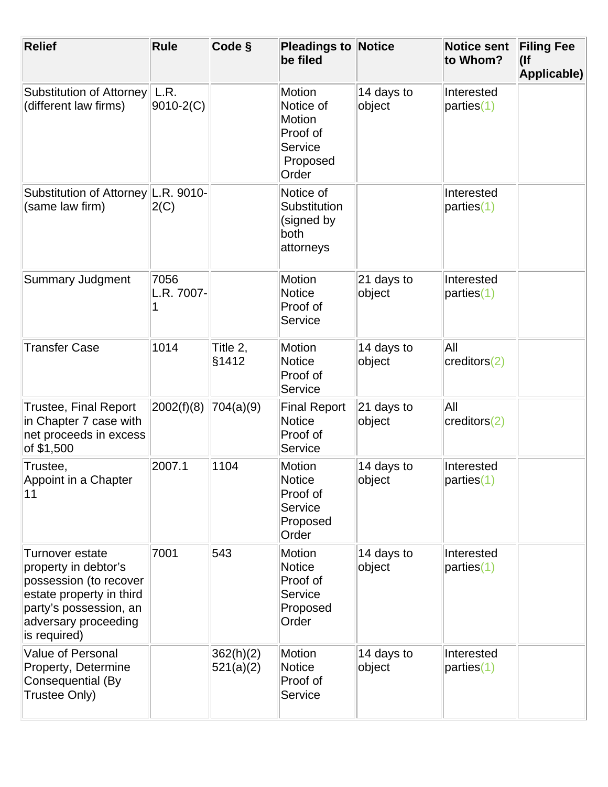| <b>Relief</b>                                                                                                                                                   | <b>Rule</b>           | Code §                 | <b>Pleadings to Notice</b><br>be filed                                                  |                        | <b>Notice sent</b><br>to Whom? | <b>Filing Fee</b><br>$($ lf<br>Applicable) |
|-----------------------------------------------------------------------------------------------------------------------------------------------------------------|-----------------------|------------------------|-----------------------------------------------------------------------------------------|------------------------|--------------------------------|--------------------------------------------|
| <b>Substitution of Attorney</b><br>(different law firms)                                                                                                        | L.R.<br>$9010 - 2(C)$ |                        | <b>Motion</b><br>Notice of<br><b>Motion</b><br>Proof of<br>Service<br>Proposed<br>Order | 14 days to<br>object   | Interested<br>parties(1)       |                                            |
| Substitution of Attorney L.R. 9010-<br>(same law firm)                                                                                                          | 2(C)                  |                        | Notice of<br>Substitution<br>(signed by<br>both<br>attorneys                            |                        | Interested<br>parties(1)       |                                            |
| <b>Summary Judgment</b>                                                                                                                                         | 7056<br>L.R. 7007-    |                        | <b>Motion</b><br><b>Notice</b><br>Proof of<br>Service                                   | $21$ days to<br>object | Interested<br>parties(1)       |                                            |
| <b>Transfer Case</b>                                                                                                                                            | 1014                  | Title 2,<br>§1412      | <b>Motion</b><br><b>Notice</b><br>Proof of<br>Service                                   | 14 days to<br>object   | All<br>creditors(2)            |                                            |
| <b>Trustee, Final Report</b><br>in Chapter 7 case with<br>net proceeds in excess<br>of \$1,500                                                                  | 2002(f)(8)            | 704(a)(9)              | <b>Final Report</b><br><b>Notice</b><br>Proof of<br>Service                             | 21 days to<br>object   | All<br>creditors(2)            |                                            |
| Trustee,<br>Appoint in a Chapter<br>11                                                                                                                          | 2007.1                | 1104                   | Motion<br><b>Notice</b><br>Proof of<br>Service<br>Proposed<br>Order                     | 14 days to<br>object   | Interested<br>parties(1)       |                                            |
| Turnover estate<br>property in debtor's<br>possession (to recover<br>estate property in third<br>party's possession, an<br>adversary proceeding<br>is required) | 7001                  | 543                    | <b>Motion</b><br><b>Notice</b><br>Proof of<br>Service<br>Proposed<br>Order              | 14 days to<br>object   | Interested<br>parties(1)       |                                            |
| <b>Value of Personal</b><br>Property, Determine<br>Consequential (By<br>Trustee Only)                                                                           |                       | 362(h)(2)<br>521(a)(2) | <b>Motion</b><br><b>Notice</b><br>Proof of<br>Service                                   | 14 days to<br>object   | Interested<br>parties(1)       |                                            |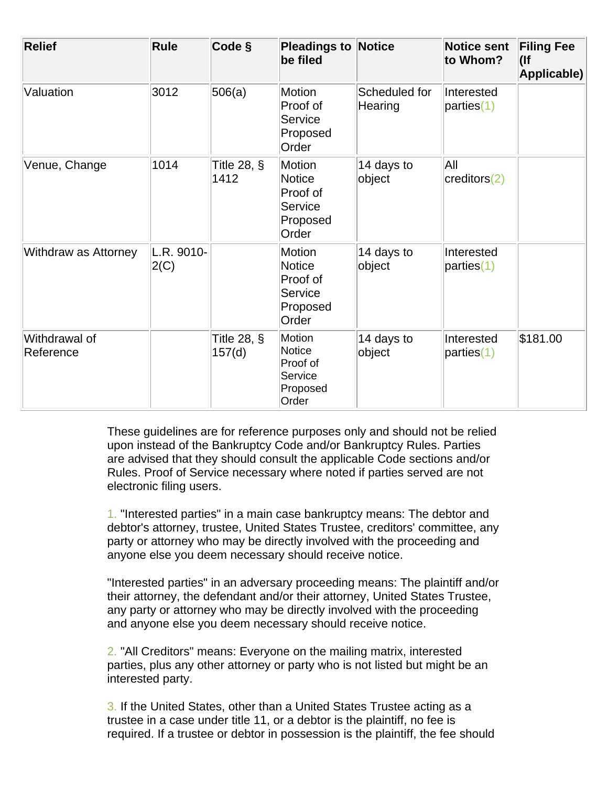| <b>Relief</b>              | Rule                | Code §                   | <b>Pleadings to Notice</b><br>be filed                                     |                          | <b>Notice sent</b><br>to Whom? | <b>Filing Fee</b><br>$($ lf<br>Applicable) |
|----------------------------|---------------------|--------------------------|----------------------------------------------------------------------------|--------------------------|--------------------------------|--------------------------------------------|
| Valuation                  | 3012                | 506(a)                   | <b>Motion</b><br>Proof of<br>Service<br>Proposed<br>Order                  | Scheduled for<br>Hearing | Interested<br>parties(1)       |                                            |
| Venue, Change              | 1014                | Title 28, $\S$<br>1412   | Motion<br><b>Notice</b><br>Proof of<br>Service<br>Proposed<br>Order        | 14 days to<br>object     | All<br>$ {\rm creditors}(2) $  |                                            |
| Withdraw as Attorney       | L.R. 9010-<br> 2(C) |                          | <b>Motion</b><br><b>Notice</b><br>Proof of<br>Service<br>Proposed<br>Order | 14 days to<br>object     | Interested<br>parties(1)       |                                            |
| Withdrawal of<br>Reference |                     | Title 28, $\S$<br>157(d) | Motion<br><b>Notice</b><br>Proof of<br><b>Service</b><br>Proposed<br>Order | 14 days to<br>object     | Interested<br>parties(1)       | \$181.00                                   |

These guidelines are for reference purposes only and should not be relied upon instead of the Bankruptcy Code and/or Bankruptcy Rules. Parties are advised that they should consult the applicable Code sections and/or Rules. Proof of Service necessary where noted if parties served are not electronic filing users.

1. "Interested parties" in a main case bankruptcy means: The debtor and debtor's attorney, trustee, United States Trustee, creditors' committee, any party or attorney who may be directly involved with the proceeding and anyone else you deem necessary should receive notice.

"Interested parties" in an adversary proceeding means: The plaintiff and/or their attorney, the defendant and/or their attorney, United States Trustee, any party or attorney who may be directly involved with the proceeding and anyone else you deem necessary should receive notice.

2. "All Creditors" means: Everyone on the mailing matrix, interested parties, plus any other attorney or party who is not listed but might be an interested party.

3. If the United States, other than a United States Trustee acting as a trustee in a case under title 11, or a debtor is the plaintiff, no fee is required. If a trustee or debtor in possession is the plaintiff, the fee should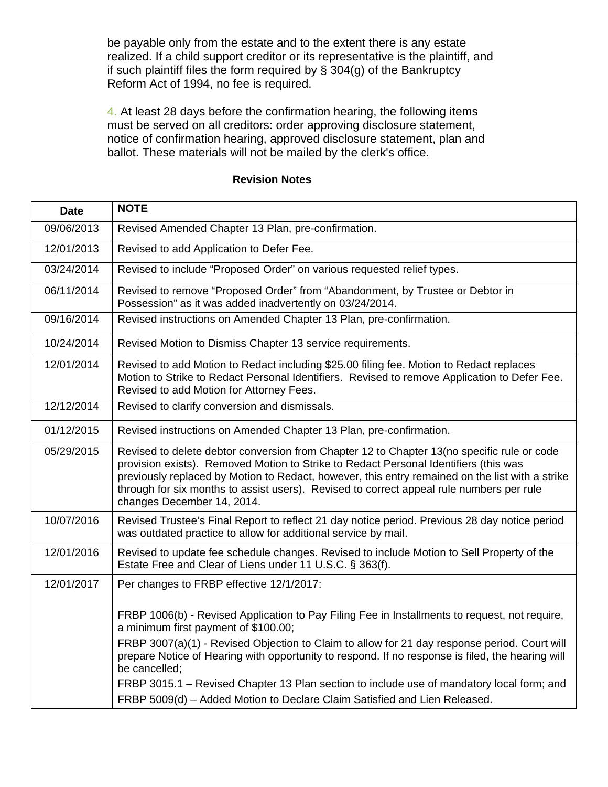be payable only from the estate and to the extent there is any estate realized. If a child support creditor or its representative is the plaintiff, and if such plaintiff files the form required by § 304(g) of the Bankruptcy Reform Act of 1994, no fee is required.

4. At least 28 days before the confirmation hearing, the following items must be served on all creditors: order approving disclosure statement, notice of confirmation hearing, approved disclosure statement, plan and ballot. These materials will not be mailed by the clerk's office.

| <b>NOTE</b>                                                                                                                                                                                                                                                                                                                                                                                                     |
|-----------------------------------------------------------------------------------------------------------------------------------------------------------------------------------------------------------------------------------------------------------------------------------------------------------------------------------------------------------------------------------------------------------------|
| Revised Amended Chapter 13 Plan, pre-confirmation.                                                                                                                                                                                                                                                                                                                                                              |
| Revised to add Application to Defer Fee.                                                                                                                                                                                                                                                                                                                                                                        |
| Revised to include "Proposed Order" on various requested relief types.                                                                                                                                                                                                                                                                                                                                          |
| Revised to remove "Proposed Order" from "Abandonment, by Trustee or Debtor in<br>Possession" as it was added inadvertently on 03/24/2014.                                                                                                                                                                                                                                                                       |
| Revised instructions on Amended Chapter 13 Plan, pre-confirmation.                                                                                                                                                                                                                                                                                                                                              |
| Revised Motion to Dismiss Chapter 13 service requirements.                                                                                                                                                                                                                                                                                                                                                      |
| Revised to add Motion to Redact including \$25.00 filing fee. Motion to Redact replaces<br>Motion to Strike to Redact Personal Identifiers. Revised to remove Application to Defer Fee.<br>Revised to add Motion for Attorney Fees.                                                                                                                                                                             |
| Revised to clarify conversion and dismissals.                                                                                                                                                                                                                                                                                                                                                                   |
| Revised instructions on Amended Chapter 13 Plan, pre-confirmation.                                                                                                                                                                                                                                                                                                                                              |
| Revised to delete debtor conversion from Chapter 12 to Chapter 13(no specific rule or code<br>provision exists). Removed Motion to Strike to Redact Personal Identifiers (this was<br>previously replaced by Motion to Redact, however, this entry remained on the list with a strike<br>through for six months to assist users). Revised to correct appeal rule numbers per rule<br>changes December 14, 2014. |
| Revised Trustee's Final Report to reflect 21 day notice period. Previous 28 day notice period<br>was outdated practice to allow for additional service by mail.                                                                                                                                                                                                                                                 |
| Revised to update fee schedule changes. Revised to include Motion to Sell Property of the<br>Estate Free and Clear of Liens under 11 U.S.C. § 363(f).                                                                                                                                                                                                                                                           |
| Per changes to FRBP effective 12/1/2017:                                                                                                                                                                                                                                                                                                                                                                        |
| FRBP 1006(b) - Revised Application to Pay Filing Fee in Installments to request, not require,<br>a minimum first payment of \$100.00;                                                                                                                                                                                                                                                                           |
| FRBP 3007(a)(1) - Revised Objection to Claim to allow for 21 day response period. Court will<br>prepare Notice of Hearing with opportunity to respond. If no response is filed, the hearing will<br>be cancelled;                                                                                                                                                                                               |
| FRBP 3015.1 – Revised Chapter 13 Plan section to include use of mandatory local form; and<br>FRBP 5009(d) - Added Motion to Declare Claim Satisfied and Lien Released.                                                                                                                                                                                                                                          |
|                                                                                                                                                                                                                                                                                                                                                                                                                 |

## **Revision Notes**